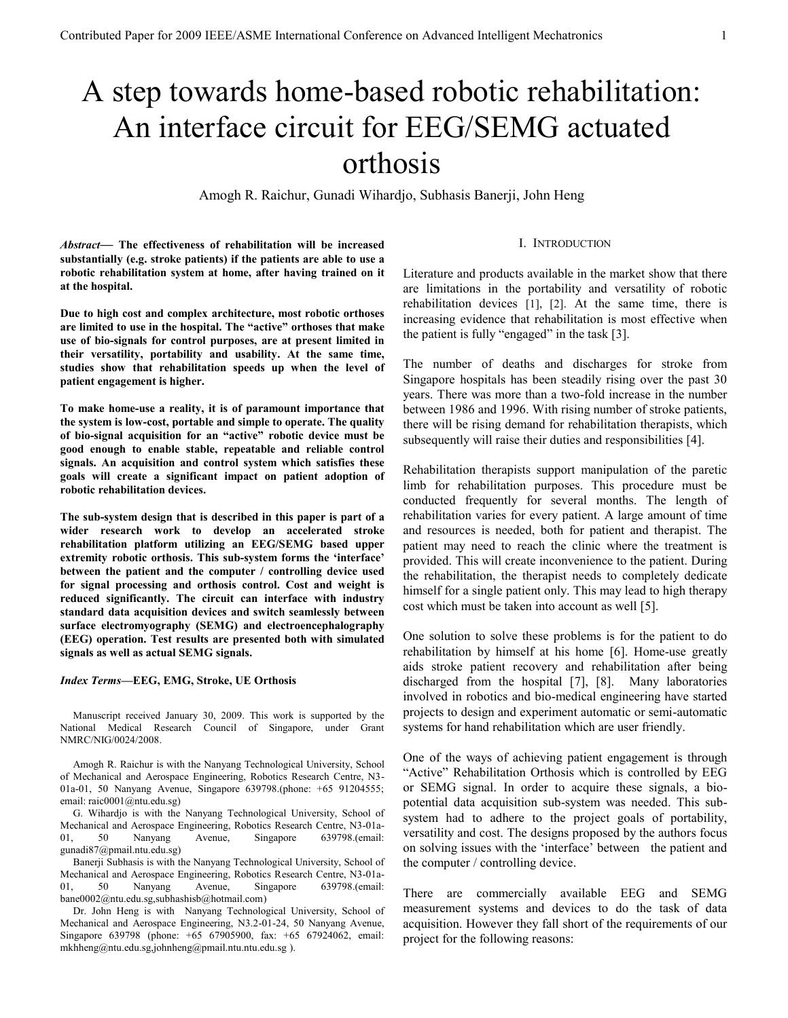# A step towards home-based robotic rehabilitation: An interface circuit for EEG/SEMG actuated orthosis

Amogh R. Raichur, Gunadi Wihardjo, Subhasis Banerji, John Heng

*Abstract***— The effectiveness of rehabilitation will be increased substantially (e.g. stroke patients) if the patients are able to use a robotic rehabilitation system at home, after having trained on it at the hospital.**

**Due to high cost and complex architecture, most robotic orthoses are limited to use in the hospital. The "active" orthoses that make use of bio-signals for control purposes, are at present limited in their versatility, portability and usability. At the same time, studies show that rehabilitation speeds up when the level of patient engagement is higher.**

**To make home-use a reality, it is of paramount importance that the system is low-cost, portable and simple to operate. The quality of bio-signal acquisition for an "active" robotic device must be good enough to enable stable, repeatable and reliable control signals. An acquisition and control system which satisfies these goals will create a significant impact on patient adoption of robotic rehabilitation devices.**

**The sub-system design that is described in this paper is part of a wider research work to develop an accelerated stroke rehabilitation platform utilizing an EEG/SEMG based upper extremity robotic orthosis. This sub-system forms the "interface" between the patient and the computer / controlling device used for signal processing and orthosis control. Cost and weight is reduced significantly. The circuit can interface with industry standard data acquisition devices and switch seamlessly between surface electromyography (SEMG) and electroencephalography (EEG) operation. Test results are presented both with simulated signals as well as actual SEMG signals.**

#### *Index Terms***—EEG, EMG, Stroke, UE Orthosis**

Manuscript received January 30, 2009. This work is supported by the National Medical Research Council of Singapore, under Grant NMRC/NIG/0024/2008.

Amogh R. Raichur is with the Nanyang Technological University, School of Mechanical and Aerospace Engineering, Robotics Research Centre, N3- 01a-01, 50 Nanyang Avenue, Singapore 639798.(phone: +65 91204555; email: raic0001@ntu.edu.sg)

G. Wihardjo is with the Nanyang Technological University, School of Mechanical and Aerospace Engineering, Robotics Research Centre, N3-01a-01, 50 Nanyang Avenue, Singapore 639798.(email: gunadi87@pmail.ntu.edu.sg)

Banerji Subhasis is with the Nanyang Technological University, School of Mechanical and Aerospace Engineering, Robotics Research Centre, N3-01a-01, 50 Nanyang Avenue, Singapore 639798.(email: bane0002@ntu.edu.sg,subhashisb@hotmail.com)

Dr. John Heng is with Nanyang Technological University, School of Mechanical and Aerospace Engineering, N3.2-01-24, 50 Nanyang Avenue, Singapore 639798 (phone: +65 67905900, fax: +65 67924062, email: mkhheng@ntu.edu.sg,johnheng@pmail.ntu.ntu.edu.sg ).

### I. INTRODUCTION

Literature and products available in the market show that there are limitations in the portability and versatility of robotic rehabilitation devices [1], [2]. At the same time, there is increasing evidence that rehabilitation is most effective when the patient is fully "engaged" in the task [3].

The number of deaths and discharges for stroke from Singapore hospitals has been steadily rising over the past 30 years. There was more than a two-fold increase in the number between 1986 and 1996. With rising number of stroke patients, there will be rising demand for rehabilitation therapists, which subsequently will raise their duties and responsibilities [4].

Rehabilitation therapists support manipulation of the paretic limb for rehabilitation purposes. This procedure must be conducted frequently for several months. The length of rehabilitation varies for every patient. A large amount of time and resources is needed, both for patient and therapist. The patient may need to reach the clinic where the treatment is provided. This will create inconvenience to the patient. During the rehabilitation, the therapist needs to completely dedicate himself for a single patient only. This may lead to high therapy cost which must be taken into account as well [5].

One solution to solve these problems is for the patient to do rehabilitation by himself at his home [6]. Home-use greatly aids stroke patient recovery and rehabilitation after being discharged from the hospital [7], [8]. Many laboratories involved in robotics and bio-medical engineering have started projects to design and experiment automatic or semi-automatic systems for hand rehabilitation which are user friendly.

One of the ways of achieving patient engagement is through "Active" Rehabilitation Orthosis which is controlled by EEG or SEMG signal. In order to acquire these signals, a biopotential data acquisition sub-system was needed. This subsystem had to adhere to the project goals of portability, versatility and cost. The designs proposed by the authors focus on solving issues with the "interface" between the patient and the computer / controlling device.

There are commercially available EEG and SEMG measurement systems and devices to do the task of data acquisition. However they fall short of the requirements of our project for the following reasons: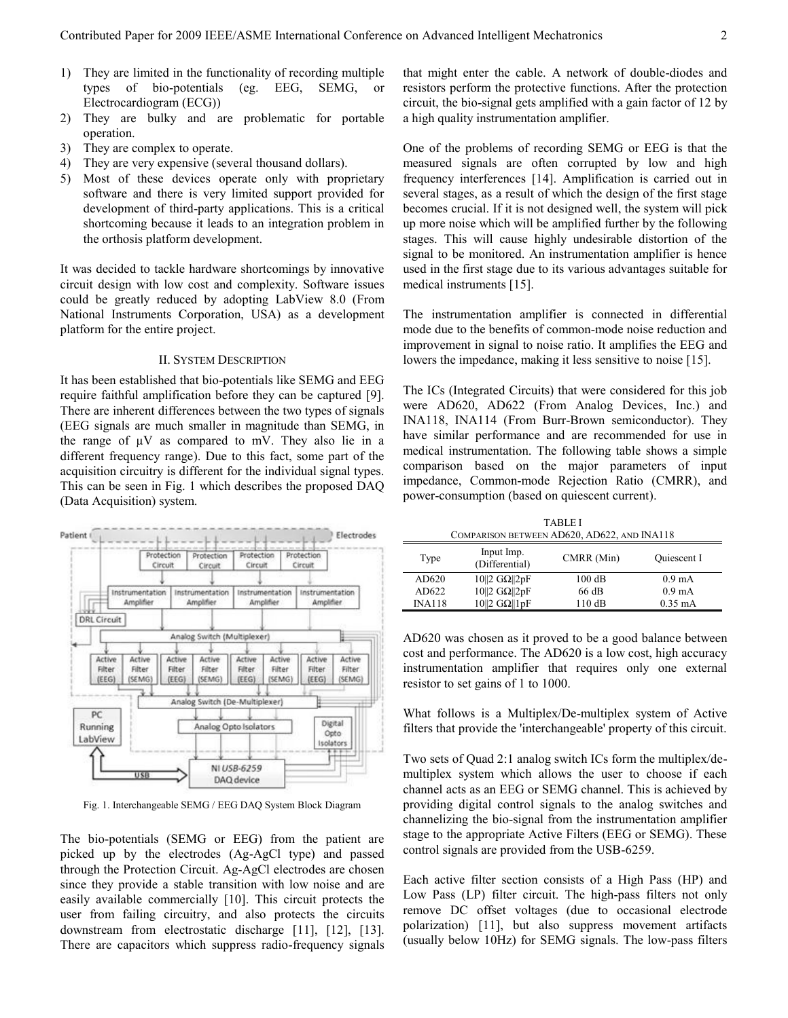- 1) They are limited in the functionality of recording multiple types of bio-potentials (eg.  $EEG$ ,  $SEMG$ ) Electrocardiogram (ECG))
- 2) They are bulky and are problematic for portable operation.
- 3) They are complex to operate.
- 4) They are very expensive (several thousand dollars).
- 5) Most of these devices operate only with proprietary software and there is very limited support provided for development of third-party applications. This is a critical shortcoming because it leads to an integration problem in the orthosis platform development.

It was decided to tackle hardware shortcomings by innovative circuit design with low cost and complexity. Software issues could be greatly reduced by adopting LabView 8.0 (From National Instruments Corporation, USA) as a development platform for the entire project.

## II. SYSTEM DESCRIPTION

It has been established that bio-potentials like SEMG and EEG require faithful amplification before they can be captured [9]. There are inherent differences between the two types of signals (EEG signals are much smaller in magnitude than SEMG, in the range of  $\mu$ V as compared to mV. They also lie in a different frequency range). Due to this fact, some part of the acquisition circuitry is different for the individual signal types. This can be seen in Fig. 1 which describes the proposed DAQ (Data Acquisition) system.



Fig. 1. Interchangeable SEMG / EEG DAQ System Block Diagram

The bio-potentials (SEMG or EEG) from the patient are picked up by the electrodes (Ag-AgCl type) and passed through the Protection Circuit. Ag-AgCl electrodes are chosen since they provide a stable transition with low noise and are easily available commercially [10]. This circuit protects the user from failing circuitry, and also protects the circuits downstream from electrostatic discharge [11], [12], [13]. There are capacitors which suppress radio-frequency signals

that might enter the cable. A network of double-diodes and resistors perform the protective functions. After the protection circuit, the bio-signal gets amplified with a gain factor of 12 by a high quality instrumentation amplifier.

One of the problems of recording SEMG or EEG is that the measured signals are often corrupted by low and high frequency interferences [14]. Amplification is carried out in several stages, as a result of which the design of the first stage becomes crucial. If it is not designed well, the system will pick up more noise which will be amplified further by the following stages. This will cause highly undesirable distortion of the signal to be monitored. An instrumentation amplifier is hence used in the first stage due to its various advantages suitable for medical instruments [15].

The instrumentation amplifier is connected in differential mode due to the benefits of common-mode noise reduction and improvement in signal to noise ratio. It amplifies the EEG and lowers the impedance, making it less sensitive to noise [15].

The ICs (Integrated Circuits) that were considered for this job were AD620, AD622 (From Analog Devices, Inc.) and INA118, INA114 (From Burr-Brown semiconductor). They have similar performance and are recommended for use in medical instrumentation. The following table shows a simple comparison based on the major parameters of input impedance, Common-mode Rejection Ratio (CMRR), and power-consumption (based on quiescent current).

TABLE I COMPARISON BETWEEN AD620, AD622, AND INA118

| Type          | Input Imp.<br>(Differential)         | CMRR (Min) | <b>Ouiescent I</b> |
|---------------|--------------------------------------|------------|--------------------|
| AD620         | $10\ 2 \text{ G}\Omega\ 2pF$         | 100dB      | $0.9 \text{ mA}$   |
| AD622         | $10  2 \text{ G}\Omega  2pF$         | 66 dB      | $0.9 \text{ mA}$   |
| <b>INA118</b> | $10  2 \text{ G}\Omega  1 \text{pF}$ | 110dB      | $0.35 \text{ mA}$  |

AD620 was chosen as it proved to be a good balance between cost and performance. The AD620 is a low cost, high accuracy instrumentation amplifier that requires only one external resistor to set gains of 1 to 1000.

What follows is a Multiplex/De-multiplex system of Active filters that provide the 'interchangeable' property of this circuit.

Two sets of Quad 2:1 analog switch ICs form the multiplex/demultiplex system which allows the user to choose if each channel acts as an EEG or SEMG channel. This is achieved by providing digital control signals to the analog switches and channelizing the bio-signal from the instrumentation amplifier stage to the appropriate Active Filters (EEG or SEMG). These control signals are provided from the USB-6259.

Each active filter section consists of a High Pass (HP) and Low Pass (LP) filter circuit. The high-pass filters not only remove DC offset voltages (due to occasional electrode polarization) [11], but also suppress movement artifacts (usually below 10Hz) for SEMG signals. The low-pass filters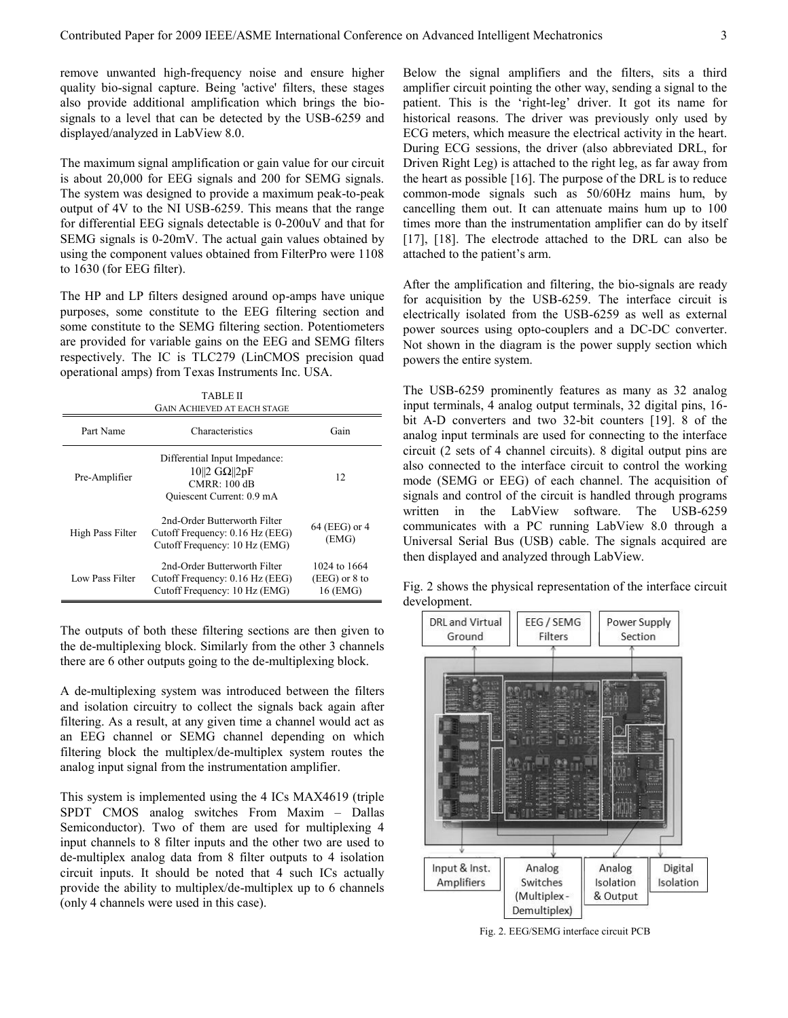remove unwanted high-frequency noise and ensure higher quality bio-signal capture. Being 'active' filters, these stages also provide additional amplification which brings the biosignals to a level that can be detected by the USB-6259 and displayed/analyzed in LabView 8.0.

The maximum signal amplification or gain value for our circuit is about 20,000 for EEG signals and 200 for SEMG signals. The system was designed to provide a maximum peak-to-peak output of 4V to the NI USB-6259. This means that the range for differential EEG signals detectable is 0-200uV and that for SEMG signals is 0-20mV. The actual gain values obtained by using the component values obtained from FilterPro were 1108 to 1630 (for EEG filter).

The HP and LP filters designed around op-amps have unique purposes, some constitute to the EEG filtering section and some constitute to the SEMG filtering section. Potentiometers are provided for variable gains on the EEG and SEMG filters respectively. The IC is TLC279 (LinCMOS precision quad operational amps) from Texas Instruments Inc. USA.

|                  | TABLE II<br><b>GAIN ACHIEVED AT EACH STAGE</b>                                                              |                                             |
|------------------|-------------------------------------------------------------------------------------------------------------|---------------------------------------------|
| Part Name        | Characteristics                                                                                             | Gain                                        |
| Pre-Amplifier    | Differential Input Impedance:<br>$10\ 2 \text{ G}\Omega\ 2pF$<br>$CMRR:100$ dB<br>Quiescent Current: 0.9 mA | 12                                          |
| High Pass Filter | 2nd-Order Butterworth Filter<br>Cutoff Frequency: 0.16 Hz (EEG)<br>Cutoff Frequency: 10 Hz (EMG)            | 64 (EEG) or 4<br>(EMG)                      |
| Low Pass Filter  | 2nd-Order Butterworth Filter<br>Cutoff Frequency: 0.16 Hz (EEG)<br>Cutoff Frequency: 10 Hz (EMG)            | 1024 to 1664<br>$(EEG)$ or 8 to<br>16 (EMG) |

The outputs of both these filtering sections are then given to the de-multiplexing block. Similarly from the other 3 channels there are 6 other outputs going to the de-multiplexing block.

A de-multiplexing system was introduced between the filters and isolation circuitry to collect the signals back again after filtering. As a result, at any given time a channel would act as an EEG channel or SEMG channel depending on which filtering block the multiplex/de-multiplex system routes the analog input signal from the instrumentation amplifier.

This system is implemented using the 4 ICs MAX4619 (triple SPDT CMOS analog switches From Maxim – Dallas Semiconductor). Two of them are used for multiplexing 4 input channels to 8 filter inputs and the other two are used to de-multiplex analog data from 8 filter outputs to 4 isolation circuit inputs. It should be noted that 4 such ICs actually provide the ability to multiplex/de-multiplex up to 6 channels (only 4 channels were used in this case).

Below the signal amplifiers and the filters, sits a third amplifier circuit pointing the other way, sending a signal to the patient. This is the 'right-leg' driver. It got its name for historical reasons. The driver was previously only used by ECG meters, which measure the electrical activity in the heart. During ECG sessions, the driver (also abbreviated DRL, for Driven Right Leg) is attached to the right leg, as far away from the heart as possible [16]. The purpose of the DRL is to reduce common-mode signals such as 50/60Hz mains hum, by cancelling them out. It can attenuate mains hum up to 100 times more than the instrumentation amplifier can do by itself [17], [18]. The electrode attached to the DRL can also be attached to the patient"s arm.

After the amplification and filtering, the bio-signals are ready for acquisition by the USB-6259. The interface circuit is electrically isolated from the USB-6259 as well as external power sources using opto-couplers and a DC-DC converter. Not shown in the diagram is the power supply section which powers the entire system.

The USB-6259 prominently features as many as 32 analog input terminals, 4 analog output terminals, 32 digital pins, 16 bit A-D converters and two 32-bit counters [19]. 8 of the analog input terminals are used for connecting to the interface circuit (2 sets of 4 channel circuits). 8 digital output pins are also connected to the interface circuit to control the working mode (SEMG or EEG) of each channel. The acquisition of signals and control of the circuit is handled through programs written in the LabView software. The USB-6259 communicates with a PC running LabView 8.0 through a Universal Serial Bus (USB) cable. The signals acquired are then displayed and analyzed through LabView.

Fig. 2 shows the physical representation of the interface circuit development.



Fig. 2. EEG/SEMG interface circuit PCB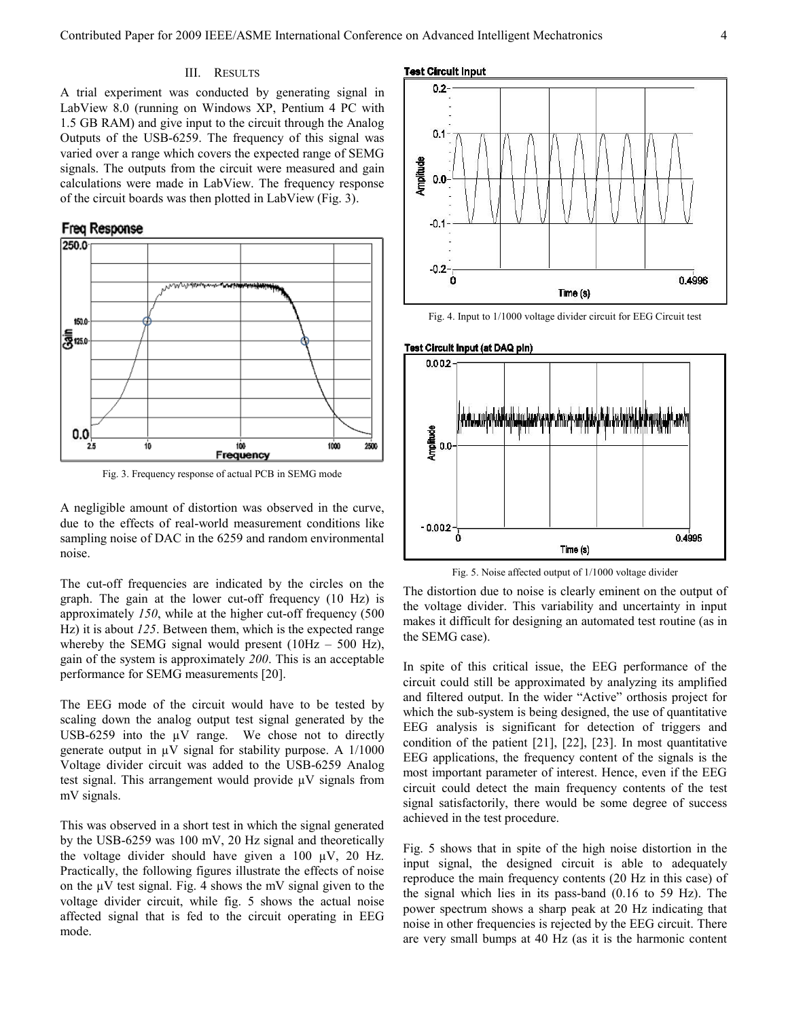# III. RESULTS

A trial experiment was conducted by generating signal in LabView 8.0 (running on Windows XP, Pentium 4 PC with 1.5 GB RAM) and give input to the circuit through the Analog Outputs of the USB-6259. The frequency of this signal was varied over a range which covers the expected range of SEMG signals. The outputs from the circuit were measured and gain calculations were made in LabView. The frequency response of the circuit boards was then plotted in LabView (Fig. 3).



Fig. 3. Frequency response of actual PCB in SEMG mode

A negligible amount of distortion was observed in the curve, due to the effects of real-world measurement conditions like sampling noise of DAC in the 6259 and random environmental noise.

The cut-off frequencies are indicated by the circles on the graph. The gain at the lower cut-off frequency (10 Hz) is approximately *150*, while at the higher cut-off frequency (500 Hz) it is about *125*. Between them, which is the expected range whereby the SEMG signal would present  $(10Hz - 500 Hz)$ , gain of the system is approximately *200*. This is an acceptable performance for SEMG measurements [20].

The EEG mode of the circuit would have to be tested by scaling down the analog output test signal generated by the USB-6259 into the  $\mu$ V range. We chose not to directly generate output in  $\mu$ V signal for stability purpose. A 1/1000 Voltage divider circuit was added to the USB-6259 Analog test signal. This arrangement would provide  $\mu$ V signals from mV signals.

This was observed in a short test in which the signal generated by the USB-6259 was 100 mV, 20 Hz signal and theoretically the voltage divider should have given a  $100 \mu V$ ,  $20 \text{ Hz}$ . Practically, the following figures illustrate the effects of noise on the  $\mu$ V test signal. Fig. 4 shows the mV signal given to the voltage divider circuit, while fig. 5 shows the actual noise affected signal that is fed to the circuit operating in EEG mode.



Fig. 4. Input to 1/1000 voltage divider circuit for EEG Circuit test



Fig. 5. Noise affected output of 1/1000 voltage divider

The distortion due to noise is clearly eminent on the output of the voltage divider. This variability and uncertainty in input makes it difficult for designing an automated test routine (as in the SEMG case).

In spite of this critical issue, the EEG performance of the circuit could still be approximated by analyzing its amplified and filtered output. In the wider "Active" orthosis project for which the sub-system is being designed, the use of quantitative EEG analysis is significant for detection of triggers and condition of the patient [21], [22], [23]. In most quantitative EEG applications, the frequency content of the signals is the most important parameter of interest. Hence, even if the EEG circuit could detect the main frequency contents of the test signal satisfactorily, there would be some degree of success achieved in the test procedure.

Fig. 5 shows that in spite of the high noise distortion in the input signal, the designed circuit is able to adequately reproduce the main frequency contents (20 Hz in this case) of the signal which lies in its pass-band (0.16 to 59 Hz). The power spectrum shows a sharp peak at 20 Hz indicating that noise in other frequencies is rejected by the EEG circuit. There are very small bumps at 40 Hz (as it is the harmonic content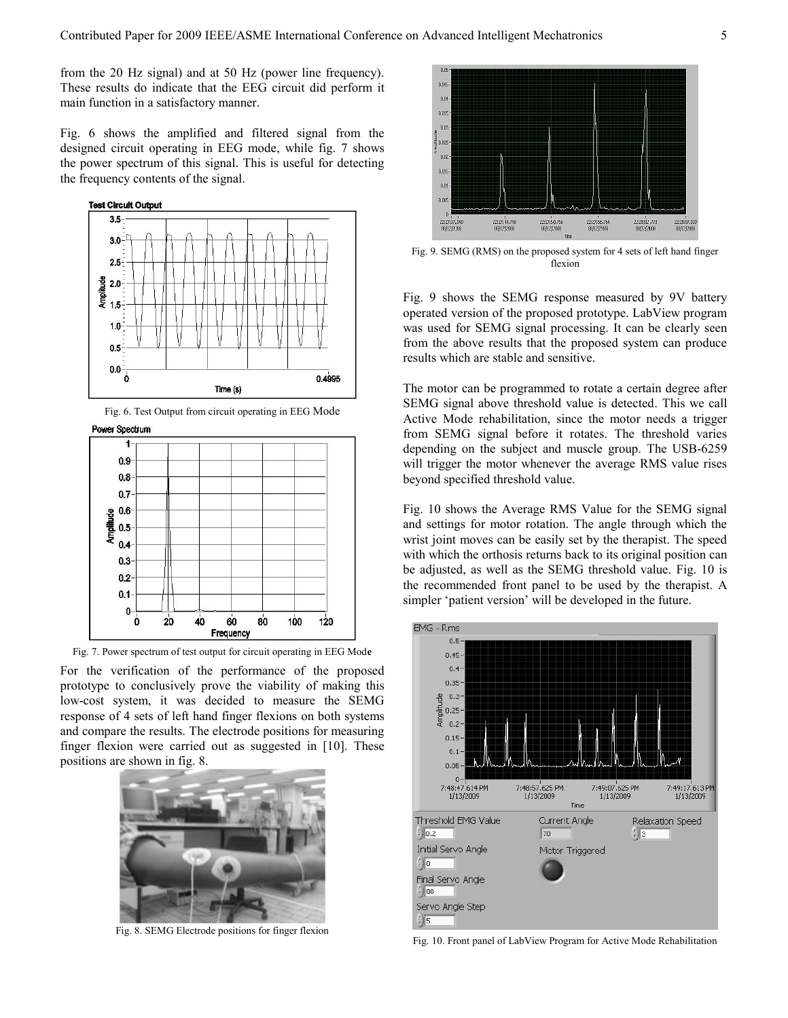from the 20 Hz signal) and at 50 Hz (power line frequency). These results do indicate that the EEG circuit did perform it main function in a satisfactory manner.

Fig. 6 shows the amplified and filtered signal from the designed circuit operating in EEG mode, while fig. 7 shows the power spectrum of this signal. This is useful for detecting the frequency contents of the signal.



Fig. 6. Test Output from circuit operating in EEG Mode

Power Spectrum



Fig. 7. Power spectrum of test output for circuit operating in EEG Mod**e**

For the verification of the performance of the proposed prototype to conclusively prove the viability of making this low-cost system, it was decided to measure the SEMG response of 4 sets of left hand finger flexions on both systems and compare the results. The electrode positions for measuring finger flexion were carried out as suggested in [10]. These positions are shown in fig. 8.



Fig. 8. SEMG Electrode positions for finger flexion



Fig. 9. SEMG (RMS) on the proposed system for 4 sets of left hand finger flexion

Fig. 9 shows the SEMG response measured by 9V battery operated version of the proposed prototype. LabView program was used for SEMG signal processing. It can be clearly seen from the above results that the proposed system can produce results which are stable and sensitive.

The motor can be programmed to rotate a certain degree after SEMG signal above threshold value is detected. This we call Active Mode rehabilitation, since the motor needs a trigger from SEMG signal before it rotates. The threshold varies depending on the subject and muscle group. The USB-6259 will trigger the motor whenever the average RMS value rises beyond specified threshold value.

Fig. 10 shows the Average RMS Value for the SEMG signal and settings for motor rotation. The angle through which the wrist joint moves can be easily set by the therapist. The speed with which the orthosis returns back to its original position can be adjusted, as well as the SEMG threshold value. Fig. 10 is the recommended front panel to be used by the therapist. A simpler 'patient version' will be developed in the future.



Fig. 10. Front panel of LabView Program for Active Mode Rehabilitation